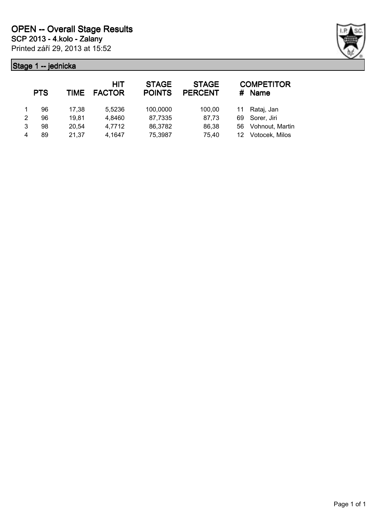

|   | <b>PTS</b> | <b>TIME</b> | <b>HIT</b><br><b>FACTOR</b> | <b>STAGE</b><br><b>POINTS</b> | <b>STAGE</b><br><b>PERCENT</b> | #  | <b>COMPETITOR</b><br><b>Name</b> |
|---|------------|-------------|-----------------------------|-------------------------------|--------------------------------|----|----------------------------------|
|   | 96         | 17,38       | 5,5236                      | 100,0000                      | 100,00                         | 11 | Rataj, Jan                       |
| 2 | 96         | 19,81       | 4,8460                      | 87,7335                       | 87,73                          | 69 | Sorer, Jiri                      |
| 3 | 98         | 20,54       | 4,7712                      | 86,3782                       | 86,38                          | 56 | Vohnout, Martin                  |
| 4 | 89         | 21,37       | 4,1647                      | 75,3987                       | 75,40                          | 12 | Votocek, Milos                   |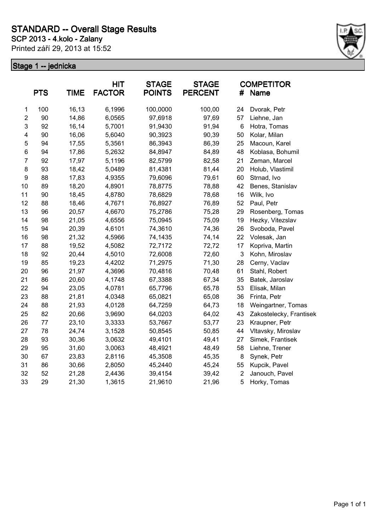Printed září 29, 2013 at 15:52



|                         | <b>PTS</b> | <b>TIME</b> | <b>HIT</b><br><b>FACTOR</b> | <b>STAGE</b><br><b>POINTS</b> | <b>STAGE</b><br><b>PERCENT</b> | #              | <b>COMPETITOR</b><br>Name |
|-------------------------|------------|-------------|-----------------------------|-------------------------------|--------------------------------|----------------|---------------------------|
| $\mathbf 1$             | 100        | 16,13       | 6,1996                      | 100,0000                      | 100,00                         | 24             | Dvorak, Petr              |
| $\overline{\mathbf{c}}$ | 90         | 14,86       | 6,0565                      | 97,6918                       | 97,69                          | 57             | Liehne, Jan               |
| 3                       | 92         | 16,14       | 5,7001                      | 91,9430                       | 91,94                          | 6              | Hotra, Tomas              |
| 4                       | 90         | 16,06       | 5,6040                      | 90,3923                       | 90,39                          | 50             | Kolar, Milan              |
| 5                       | 94         | 17,55       | 5,3561                      | 86,3943                       | 86,39                          | 25             | Macoun, Karel             |
| 6                       | 94         | 17,86       | 5,2632                      | 84,8947                       | 84,89                          | 48             | Koblasa, Bohumil          |
| $\overline{7}$          | 92         | 17,97       | 5,1196                      | 82,5799                       | 82,58                          | 21             | Zeman, Marcel             |
| 8                       | 93         | 18,42       | 5,0489                      | 81,4381                       | 81,44                          | 20             | Holub, Vlastimil          |
| $\boldsymbol{9}$        | 88         | 17,83       | 4,9355                      | 79,6096                       | 79,61                          | 60             | Strnad, Ivo               |
| 10                      | 89         | 18,20       | 4,8901                      | 78,8775                       | 78,88                          | 42             | Benes, Stanislav          |
| 11                      | 90         | 18,45       | 4,8780                      | 78,6829                       | 78,68                          | 16             | Wilk, Ivo                 |
| 12                      | 88         | 18,46       | 4,7671                      | 76,8927                       | 76,89                          | 52             | Paul, Petr                |
| 13                      | 96         | 20,57       | 4,6670                      | 75,2786                       | 75,28                          | 29             | Rosenberg, Tomas          |
| 14                      | 98         | 21,05       | 4,6556                      | 75,0945                       | 75,09                          | 19             | Hezky, Vitezslav          |
| 15                      | 94         | 20,39       | 4,6101                      | 74,3610                       | 74,36                          | 26             | Svoboda, Pavel            |
| 16                      | 98         | 21,32       | 4,5966                      | 74,1435                       | 74,14                          | 22             | Volesak, Jan              |
| 17                      | 88         | 19,52       | 4,5082                      | 72,7172                       | 72,72                          | 17             | Kopriva, Martin           |
| 18                      | 92         | 20,44       | 4,5010                      | 72,6008                       | 72,60                          | 3              | Kohn, Miroslav            |
| 19                      | 85         | 19,23       | 4,4202                      | 71,2975                       | 71,30                          | 28             | Cerny, Vaclav             |
| 20                      | 96         | 21,97       | 4,3696                      | 70,4816                       | 70,48                          | 61             | Stahl, Robert             |
| 21                      | 86         | 20,60       | 4,1748                      | 67,3388                       | 67,34                          | 35             | Batek, Jaroslav           |
| 22                      | 94         | 23,05       | 4,0781                      | 65,7796                       | 65,78                          | 53             | Elisak, Milan             |
| 23                      | 88         | 21,81       | 4,0348                      | 65,0821                       | 65,08                          | 36             | Frinta, Petr              |
| 24                      | 88         | 21,93       | 4,0128                      | 64,7259                       | 64,73                          | 18             | Weingartner, Tomas        |
| 25                      | 82         | 20,66       | 3,9690                      | 64,0203                       | 64,02                          | 43             | Zakostelecky, Frantisek   |
| 26                      | 77         | 23,10       | 3,3333                      | 53,7667                       | 53,77                          | 23             | Kraupner, Petr            |
| 27                      | 78         | 24,74       | 3,1528                      | 50,8545                       | 50,85                          | 44             | Vltavsky, Miroslav        |
| 28                      | 93         | 30,36       | 3,0632                      | 49,4101                       | 49,41                          | 27             | Simek, Frantisek          |
| 29                      | 95         | 31,60       | 3,0063                      | 48,4921                       | 48,49                          | 58             | Liehne, Trener            |
| 30                      | 67         | 23,83       | 2,8116                      | 45,3508                       | 45,35                          | 8              | Synek, Petr               |
| 31                      | 86         | 30,66       | 2,8050                      | 45,2440                       | 45,24                          | 55             | Kupcik, Pavel             |
| 32                      | 52         | 21,28       | 2,4436                      | 39,4154                       | 39,42                          | $\overline{2}$ | Janouch, Pavel            |
| 33                      | 29         | 21,30       | 1,3615                      | 21,9610                       | 21,96                          | 5              | Horky, Tomas              |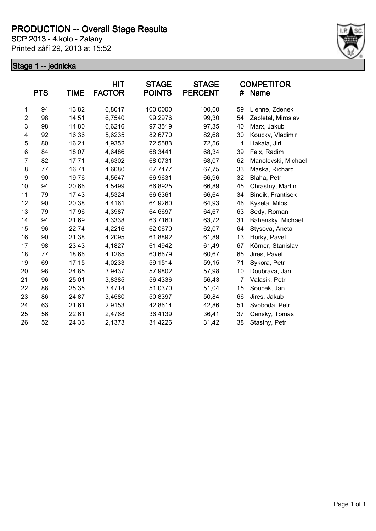**SCP 2013 - 4.kolo - Zalany**

Printed září 29, 2013 at 15:52



|                | <b>PTS</b> | <b>TIME</b> | <b>HIT</b><br><b>FACTOR</b> | <b>STAGE</b><br><b>POINTS</b> | <b>STAGE</b><br><b>PERCENT</b> | #              | <b>COMPETITOR</b><br>Name |
|----------------|------------|-------------|-----------------------------|-------------------------------|--------------------------------|----------------|---------------------------|
| 1              | 94         | 13,82       | 6,8017                      | 100,0000                      | 100,00                         | 59             | Liehne, Zdenek            |
| $\overline{2}$ | 98         | 14,51       | 6,7540                      | 99,2976                       | 99,30                          | 54             | Zapletal, Miroslav        |
| 3              | 98         | 14,80       | 6,6216                      | 97,3519                       | 97,35                          | 40             | Marx, Jakub               |
| 4              | 92         | 16,36       | 5,6235                      | 82,6770                       | 82,68                          | 30             | Koucky, Vladimir          |
| 5              | 80         | 16,21       | 4,9352                      | 72,5583                       | 72,56                          | 4              | Hakala, Jiri              |
| 6              | 84         | 18,07       | 4,6486                      | 68,3441                       | 68,34                          | 39             | Feix, Radim               |
| $\overline{7}$ | 82         | 17,71       | 4,6302                      | 68,0731                       | 68,07                          | 62             | Manolevski, Michael       |
| 8              | 77         | 16,71       | 4,6080                      | 67,7477                       | 67,75                          | 33             | Maska, Richard            |
| 9              | 90         | 19,76       | 4,5547                      | 66,9631                       | 66,96                          | 32             | Blaha, Petr               |
| 10             | 94         | 20,66       | 4,5499                      | 66,8925                       | 66,89                          | 45             | Chrastny, Martin          |
| 11             | 79         | 17,43       | 4,5324                      | 66,6361                       | 66,64                          | 34             | Bindik, Frantisek         |
| 12             | 90         | 20,38       | 4,4161                      | 64,9260                       | 64,93                          | 46             | Kysela, Milos             |
| 13             | 79         | 17,96       | 4,3987                      | 64,6697                       | 64,67                          | 63             | Sedy, Roman               |
| 14             | 94         | 21,69       | 4,3338                      | 63,7160                       | 63,72                          | 31             | Bahensky, Michael         |
| 15             | 96         | 22,74       | 4,2216                      | 62,0670                       | 62,07                          | 64             | Stysova, Aneta            |
| 16             | 90         | 21,38       | 4,2095                      | 61,8892                       | 61,89                          | 13             | Horky, Pavel              |
| 17             | 98         | 23,43       | 4,1827                      | 61,4942                       | 61,49                          | 67             | Körner, Stanislav         |
| 18             | 77         | 18,66       | 4,1265                      | 60,6679                       | 60,67                          | 65             | Jires, Pavel              |
| 19             | 69         | 17,15       | 4,0233                      | 59,1514                       | 59,15                          | 71             | Sykora, Petr              |
| 20             | 98         | 24,85       | 3,9437                      | 57,9802                       | 57,98                          | 10             | Doubrava, Jan             |
| 21             | 96         | 25,01       | 3,8385                      | 56,4336                       | 56,43                          | $\overline{7}$ | Valasik, Petr             |
| 22             | 88         | 25,35       | 3,4714                      | 51,0370                       | 51,04                          | 15             | Soucek, Jan               |
| 23             | 86         | 24,87       | 3,4580                      | 50,8397                       | 50,84                          | 66             | Jires, Jakub              |
| 24             | 63         | 21,61       | 2,9153                      | 42,8614                       | 42,86                          | 51             | Svoboda, Petr             |
| 25             | 56         | 22,61       | 2,4768                      | 36,4139                       | 36,41                          | 37             | Censky, Tomas             |
| 26             | 52         | 24,33       | 2,1373                      | 31,4226                       | 31,42                          | 38             | Stastny, Petr             |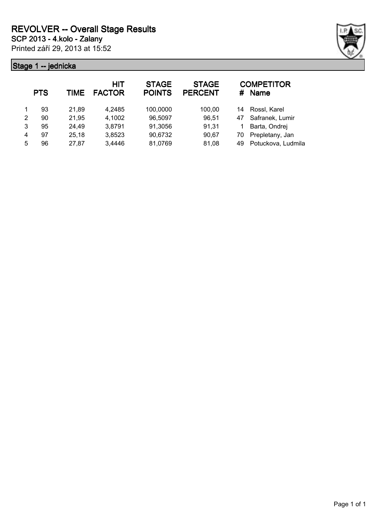

|   | <b>PTS</b> | TIME  | <b>HIT</b><br><b>FACTOR</b> | <b>STAGE</b><br><b>POINTS</b> | <b>STAGE</b><br><b>PERCENT</b> | #  | <b>COMPETITOR</b><br><b>Name</b> |
|---|------------|-------|-----------------------------|-------------------------------|--------------------------------|----|----------------------------------|
|   | 93         | 21,89 | 4,2485                      | 100,0000                      | 100,00                         | 14 | Rossl, Karel                     |
| 2 | 90         | 21,95 | 4,1002                      | 96,5097                       | 96,51                          | 47 | Safranek, Lumir                  |
| 3 | 95         | 24,49 | 3,8791                      | 91,3056                       | 91,31                          |    | Barta, Ondrej                    |
| 4 | 97         | 25,18 | 3,8523                      | 90,6732                       | 90,67                          | 70 | Prepletany, Jan                  |
| 5 | 96         | 27,87 | 3,4446                      | 81,0769                       | 81,08                          | 49 | Potuckova, Ludmila               |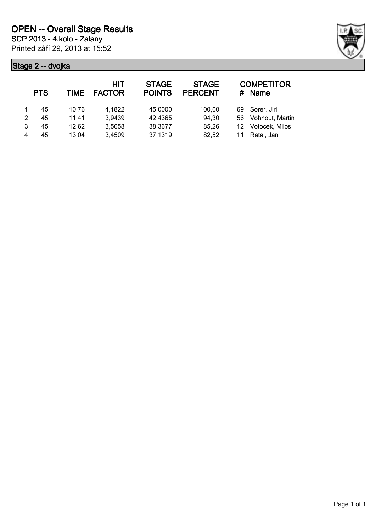

|   | <b>PTS</b> | TIME  | <b>HIT</b><br><b>FACTOR</b> | <b>STAGE</b><br><b>POINTS</b> | <b>STAGE</b><br><b>PERCENT</b> | #  | <b>COMPETITOR</b><br><b>Name</b> |
|---|------------|-------|-----------------------------|-------------------------------|--------------------------------|----|----------------------------------|
|   | 45         | 10,76 | 4,1822                      | 45,0000                       | 100,00                         | 69 | Sorer, Jiri                      |
| 2 | 45         | 11.41 | 3,9439                      | 42,4365                       | 94,30                          | 56 | Vohnout, Martin                  |
| 3 | 45         | 12,62 | 3,5658                      | 38,3677                       | 85,26                          | 12 | Votocek, Milos                   |
| 4 | 45         | 13.04 | 3,4509                      | 37,1319                       | 82,52                          | 11 | Rataj, Jan                       |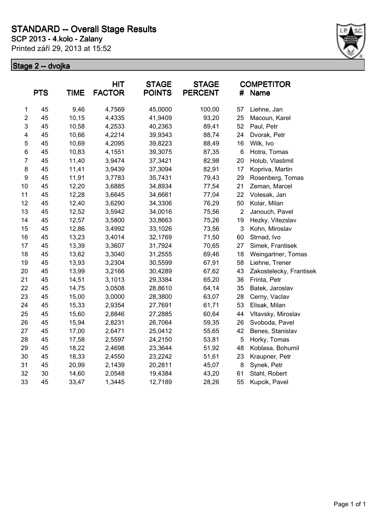Printed září 29, 2013 at 15:52



|                  | <b>PTS</b> | <b>TIME</b> | <b>HIT</b><br><b>FACTOR</b> | <b>STAGE</b><br><b>POINTS</b> | <b>STAGE</b><br><b>PERCENT</b> | #                         | <b>COMPETITOR</b><br><b>Name</b> |
|------------------|------------|-------------|-----------------------------|-------------------------------|--------------------------------|---------------------------|----------------------------------|
| $\mathbf 1$      | 45         | 9,46        | 4,7569                      | 45,0000                       | 100,00                         | 57                        | Liehne, Jan                      |
| $\overline{2}$   | 45         | 10,15       | 4,4335                      | 41,9409                       | 93,20                          | 25                        | Macoun, Karel                    |
| 3                | 45         | 10,58       | 4,2533                      | 40,2363                       | 89,41                          | 52                        | Paul, Petr                       |
| 4                | 45         | 10,66       | 4,2214                      | 39,9343                       | 88,74                          | 24                        | Dvorak, Petr                     |
| 5                | 45         | 10,69       | 4,2095                      | 39,8223                       | 88,49                          | 16                        | Wilk, Ivo                        |
| 6                | 45         | 10,83       | 4,1551                      | 39,3075                       | 87,35                          | 6                         | Hotra, Tomas                     |
| $\overline{7}$   | 45         | 11,40       | 3,9474                      | 37,3421                       | 82,98                          | 20                        | Holub, Vlastimil                 |
| 8                | 45         | 11,41       | 3,9439                      | 37,3094                       | 82,91                          | 17                        | Kopriva, Martin                  |
| $\boldsymbol{9}$ | 45         | 11,91       | 3,7783                      | 35,7431                       | 79,43                          | 29                        | Rosenberg, Tomas                 |
| 10               | 45         | 12,20       | 3,6885                      | 34,8934                       | 77,54                          | 21                        | Zeman, Marcel                    |
| 11               | 45         | 12,28       | 3,6645                      | 34,6661                       | 77,04                          | 22                        | Volesak, Jan                     |
| 12               | 45         | 12,40       | 3,6290                      | 34,3306                       | 76,29                          | 50                        | Kolar, Milan                     |
| 13               | 45         | 12,52       | 3,5942                      | 34,0016                       | 75,56                          | $\overline{2}$            | Janouch, Pavel                   |
| 14               | 45         | 12,57       | 3,5800                      | 33,8663                       | 75,26                          | 19                        | Hezky, Vitezslav                 |
| 15               | 45         | 12,86       | 3,4992                      | 33,1026                       | 73,56                          | $\ensuremath{\mathsf{3}}$ | Kohn, Miroslav                   |
| 16               | 45         | 13,23       | 3,4014                      | 32,1769                       | 71,50                          | 60                        | Strnad, Ivo                      |
| 17               | 45         | 13,39       | 3,3607                      | 31,7924                       | 70,65                          | 27                        | Simek, Frantisek                 |
| 18               | 45         | 13,62       | 3,3040                      | 31,2555                       | 69,46                          | 18                        | Weingartner, Tomas               |
| 19               | 45         | 13,93       | 3,2304                      | 30,5599                       | 67,91                          | 58                        | Liehne, Trener                   |
| 20               | 45         | 13,99       | 3,2166                      | 30,4289                       | 67,62                          | 43                        | Zakostelecky, Frantisek          |
| 21               | 45         | 14,51       | 3,1013                      | 29,3384                       | 65,20                          | 36                        | Frinta, Petr                     |
| 22               | 45         | 14,75       | 3,0508                      | 28,8610                       | 64,14                          | 35                        | Batek, Jaroslav                  |
| 23               | 45         | 15,00       | 3,0000                      | 28,3800                       | 63,07                          | 28                        | Cerny, Vaclav                    |
| 24               | 45         | 15,33       | 2,9354                      | 27,7691                       | 61,71                          | 53                        | Elisak, Milan                    |
| 25               | 45         | 15,60       | 2,8846                      | 27,2885                       | 60,64                          | 44                        | Vltavsky, Miroslav               |
| 26               | 45         | 15,94       | 2,8231                      | 26,7064                       | 59,35                          | 26                        | Svoboda, Pavel                   |
| 27               | 45         | 17,00       | 2,6471                      | 25,0412                       | 55,65                          | 42                        | Benes, Stanislav                 |
| 28               | 45         | 17,58       | 2,5597                      | 24,2150                       | 53,81                          | 5                         | Horky, Tomas                     |
| 29               | 45         | 18,22       | 2,4698                      | 23,3644                       | 51,92                          | 48                        | Koblasa, Bohumil                 |
| 30               | 45         | 18,33       | 2,4550                      | 23,2242                       | 51,61                          | 23                        | Kraupner, Petr                   |
| 31               | 45         | 20,99       | 2,1439                      | 20,2811                       | 45,07                          | 8                         | Synek, Petr                      |
| 32               | 30         | 14,60       | 2,0548                      | 19,4384                       | 43,20                          | 61                        | Stahl, Robert                    |
| 33               | 45         | 33,47       | 1,3445                      | 12,7189                       | 28,26                          | 55                        | Kupcik, Pavel                    |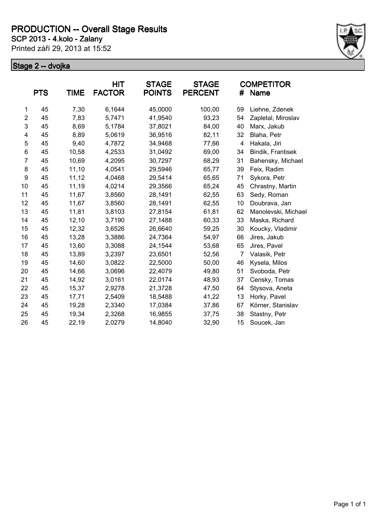**SCP 2013 - 4.kolo - Zalany**

Printed září 29, 2013 at 15:52



|                | <b>PTS</b> | <b>TIME</b> | <b>HIT</b><br><b>FACTOR</b> | <b>STAGE</b><br><b>POINTS</b> | <b>STAGE</b><br><b>PERCENT</b> | #              | <b>COMPETITOR</b><br>Name |
|----------------|------------|-------------|-----------------------------|-------------------------------|--------------------------------|----------------|---------------------------|
| 1              | 45         | 7,30        | 6,1644                      | 45,0000                       | 100,00                         | 59             | Liehne, Zdenek            |
| $\overline{c}$ | 45         | 7,83        | 5,7471                      | 41,9540                       | 93,23                          | 54             | Zapletal, Miroslav        |
| 3              | 45         | 8,69        | 5,1784                      | 37,8021                       | 84,00                          | 40             | Marx, Jakub               |
| 4              | 45         | 8,89        | 5,0619                      | 36,9516                       | 82,11                          | 32             | Blaha, Petr               |
| 5              | 45         | 9,40        | 4,7872                      | 34,9468                       | 77,66                          | 4              | Hakala, Jiri              |
| 6              | 45         | 10,58       | 4,2533                      | 31,0492                       | 69,00                          | 34             | Bindik, Frantisek         |
| 7              | 45         | 10,69       | 4,2095                      | 30,7297                       | 68,29                          | 31             | Bahensky, Michael         |
| 8              | 45         | 11,10       | 4,0541                      | 29,5946                       | 65,77                          | 39             | Feix, Radim               |
| 9              | 45         | 11,12       | 4,0468                      | 29,5414                       | 65,65                          | 71             | Sykora, Petr              |
| 10             | 45         | 11,19       | 4,0214                      | 29,3566                       | 65,24                          | 45             | Chrastny, Martin          |
| 11             | 45         | 11,67       | 3,8560                      | 28,1491                       | 62,55                          | 63             | Sedy, Roman               |
| 12             | 45         | 11,67       | 3,8560                      | 28,1491                       | 62,55                          | 10             | Doubrava, Jan             |
| 13             | 45         | 11,81       | 3,8103                      | 27,8154                       | 61,81                          | 62             | Manolevski, Michael       |
| 14             | 45         | 12,10       | 3,7190                      | 27,1488                       | 60,33                          | 33             | Maska, Richard            |
| 15             | 45         | 12,32       | 3,6526                      | 26,6640                       | 59,25                          | 30             | Koucky, Vladimir          |
| 16             | 45         | 13,28       | 3,3886                      | 24,7364                       | 54,97                          | 66             | Jires, Jakub              |
| 17             | 45         | 13,60       | 3,3088                      | 24,1544                       | 53,68                          | 65             | Jires, Pavel              |
| 18             | 45         | 13,89       | 3,2397                      | 23,6501                       | 52,56                          | $\overline{7}$ | Valasik, Petr             |
| 19             | 45         | 14,60       | 3,0822                      | 22,5000                       | 50,00                          | 46             | Kysela, Milos             |
| 20             | 45         | 14,66       | 3,0696                      | 22,4079                       | 49,80                          | 51             | Svoboda, Petr             |
| 21             | 45         | 14,92       | 3,0161                      | 22,0174                       | 48,93                          | 37             | Censky, Tomas             |
| 22             | 45         | 15,37       | 2,9278                      | 21,3728                       | 47,50                          | 64             | Stysova, Aneta            |
| 23             | 45         | 17,71       | 2,5409                      | 18,5488                       | 41,22                          | 13             | Horky, Pavel              |
| 24             | 45         | 19,28       | 2,3340                      | 17,0384                       | 37,86                          | 67             | Körner, Stanislav         |
| 25             | 45         | 19,34       | 2,3268                      | 16,9855                       | 37,75                          | 38             | Stastny, Petr             |
| 26             | 45         | 22,19       | 2,0279                      | 14,8040                       | 32,90                          | 15             | Soucek, Jan               |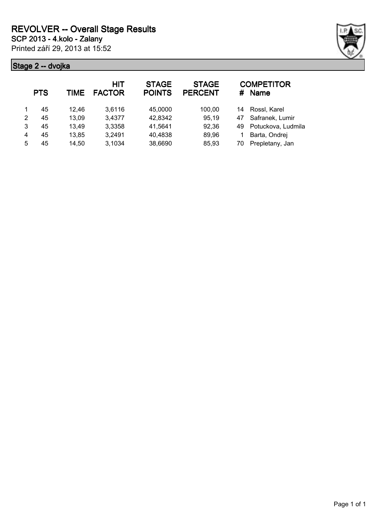

|   | <b>PTS</b> | TIME  | <b>HIT</b><br><b>FACTOR</b> | <b>STAGE</b><br><b>POINTS</b> | <b>STAGE</b><br><b>PERCENT</b> | #  | <b>COMPETITOR</b><br><b>Name</b> |
|---|------------|-------|-----------------------------|-------------------------------|--------------------------------|----|----------------------------------|
|   | 45         | 12,46 | 3,6116                      | 45,0000                       | 100,00                         | 14 | Rossl, Karel                     |
| 2 | 45         | 13,09 | 3,4377                      | 42,8342                       | 95,19                          | 47 | Safranek, Lumir                  |
| 3 | 45         | 13,49 | 3,3358                      | 41,5641                       | 92,36                          | 49 | Potuckova, Ludmila               |
| 4 | 45         | 13,85 | 3,2491                      | 40,4838                       | 89,96                          |    | Barta, Ondrej                    |
| 5 | 45         | 14,50 | 3,1034                      | 38,6690                       | 85,93                          | 70 | Prepletany, Jan                  |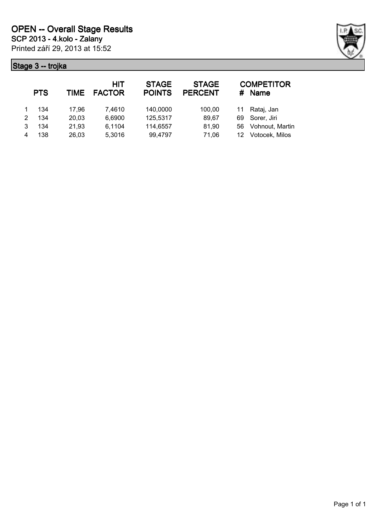

|   | <b>PTS</b> | TIME  | HIT<br><b>FACTOR</b> | <b>STAGE</b><br><b>POINTS</b> | <b>STAGE</b><br><b>PERCENT</b> | #  | <b>COMPETITOR</b><br><b>Name</b> |
|---|------------|-------|----------------------|-------------------------------|--------------------------------|----|----------------------------------|
|   | 134        | 17.96 | 7.4610               | 140,0000                      | 100,00                         | 11 | Rataj, Jan                       |
| 2 | 134        | 20,03 | 6,6900               | 125,5317                      | 89.67                          | 69 | Sorer, Jiri                      |
| 3 | 134        | 21,93 | 6,1104               | 114,6557                      | 81,90                          | 56 | Vohnout, Martin                  |
|   | 138        | 26,03 | 5,3016               | 99,4797                       | 71,06                          | 12 | Votocek, Milos                   |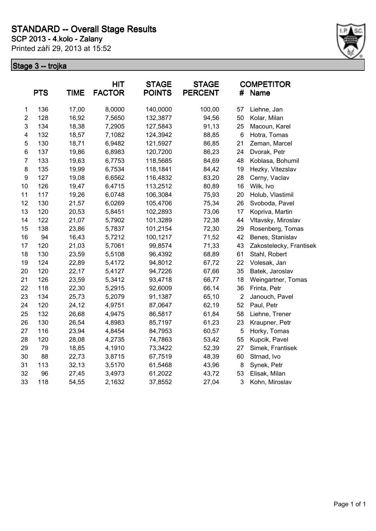Printed září 29, 2013 at 15:52



|                         | <b>PTS</b> | <b>TIME</b> | <b>HIT</b><br><b>FACTOR</b> | <b>STAGE</b><br><b>POINTS</b> | <b>STAGE</b><br><b>PERCENT</b> | #               | <b>COMPETITOR</b><br>Name |
|-------------------------|------------|-------------|-----------------------------|-------------------------------|--------------------------------|-----------------|---------------------------|
| $\mathbf 1$             | 136        | 17,00       | 8,0000                      | 140,0000                      | 100,00                         | 57              | Liehne, Jan               |
| $\overline{c}$          | 128        | 16,92       | 7,5650                      | 132,3877                      | 94,56                          | 50              | Kolar, Milan              |
| 3                       | 134        | 18,38       | 7,2905                      | 127,5843                      | 91,13                          | 25              | Macoun, Karel             |
| $\overline{\mathbf{4}}$ | 132        | 18,57       | 7,1082                      | 124,3942                      | 88,85                          | $6\phantom{1}6$ | Hotra, Tomas              |
| 5                       | 130        | 18,71       | 6,9482                      | 121,5927                      | 86,85                          | 21              | Zeman, Marcel             |
| $\,6$                   | 137        | 19,86       | 6,8983                      | 120,7200                      | 86,23                          | 24              | Dvorak, Petr              |
| $\overline{7}$          | 133        | 19,63       | 6,7753                      | 118,5685                      | 84,69                          | 48              | Koblasa, Bohumil          |
| 8                       | 135        | 19,99       | 6,7534                      | 118,1841                      | 84,42                          | 19              | Hezky, Vitezslav          |
| 9                       | 127        | 19,08       | 6,6562                      | 116,4832                      | 83,20                          | 28              | Cerny, Vaclav             |
| 10                      | 126        | 19,47       | 6,4715                      | 113,2512                      | 80,89                          | 16              | Wilk, Ivo                 |
| 11                      | 117        | 19,26       | 6,0748                      | 106,3084                      | 75,93                          | 20              | Holub, Vlastimil          |
| 12                      | 130        | 21,57       | 6,0269                      | 105,4706                      | 75,34                          | 26              | Svoboda, Pavel            |
| 13                      | 120        | 20,53       | 5,8451                      | 102,2893                      | 73,06                          | 17              | Kopriva, Martin           |
| 14                      | 122        | 21,07       | 5,7902                      | 101,3289                      | 72,38                          | 44              | Vltavsky, Miroslav        |
| 15                      | 138        | 23,86       | 5,7837                      | 101,2154                      | 72,30                          | 29              | Rosenberg, Tomas          |
| 16                      | 94         | 16,43       | 5,7212                      | 100,1217                      | 71,52                          | 42              | Benes, Stanislav          |
| 17                      | 120        | 21,03       | 5,7061                      | 99,8574                       | 71,33                          | 43              | Zakostelecky, Frantisek   |
| 18                      | 130        | 23,59       | 5,5108                      | 96,4392                       | 68,89                          | 61              | Stahl, Robert             |
| 19                      | 124        | 22,89       | 5,4172                      | 94,8012                       | 67,72                          | 22              | Volesak, Jan              |
| 20                      | 120        | 22,17       | 5,4127                      | 94,7226                       | 67,66                          | 35              | Batek, Jaroslav           |
| 21                      | 126        | 23,59       | 5,3412                      | 93,4718                       | 66,77                          | 18              | Weingartner, Tomas        |
| 22                      | 118        | 22,30       | 5,2915                      | 92,6009                       | 66,14                          | 36              | Frinta, Petr              |
| 23                      | 134        | 25,73       | 5,2079                      | 91,1387                       | 65,10                          | $\overline{2}$  | Janouch, Pavel            |
| 24                      | 120        | 24,12       | 4,9751                      | 87,0647                       | 62,19                          | 52              | Paul, Petr                |
| 25                      | 132        | 26,68       | 4,9475                      | 86,5817                       | 61,84                          | 58              | Liehne, Trener            |
| 26                      | 130        | 26,54       | 4,8983                      | 85,7197                       | 61,23                          | 23              | Kraupner, Petr            |
| 27                      | 116        | 23,94       | 4,8454                      | 84,7953                       | 60,57                          | $\mathbf 5$     | Horky, Tomas              |
| 28                      | 120        | 28,08       | 4,2735                      | 74,7863                       | 53,42                          | 55              | Kupcik, Pavel             |
| 29                      | 79         | 18,85       | 4,1910                      | 73,3422                       | 52,39                          | 27              | Simek, Frantisek          |
| 30                      | 88         | 22,73       | 3,8715                      | 67,7519                       | 48,39                          | 60              | Strnad, Ivo               |
| 31                      | 113        | 32,13       | 3,5170                      | 61,5468                       | 43,96                          | 8               | Synek, Petr               |
| 32                      | 96         | 27,45       | 3,4973                      | 61,2022                       | 43,72                          | 53              | Elisak, Milan             |
| 33                      | 118        | 54,55       | 2,1632                      | 37,8552                       | 27,04                          | 3               | Kohn, Miroslav            |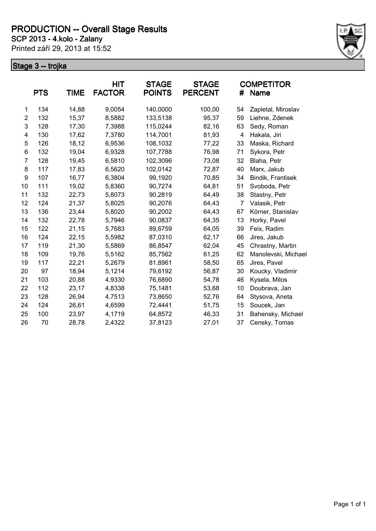**SCP 2013 - 4.kolo - Zalany**

Printed září 29, 2013 at 15:52



|                | <b>PTS</b> | <b>TIME</b> | <b>HIT</b><br><b>FACTOR</b> | <b>STAGE</b><br><b>POINTS</b> | <b>STAGE</b><br><b>PERCENT</b> | #              | <b>COMPETITOR</b><br>Name |
|----------------|------------|-------------|-----------------------------|-------------------------------|--------------------------------|----------------|---------------------------|
| 1              | 134        | 14,88       | 9,0054                      | 140,0000                      | 100,00                         | 54             | Zapletal, Miroslav        |
| $\overline{c}$ | 132        | 15,37       | 8,5882                      | 133,5138                      | 95,37                          | 59             | Liehne, Zdenek            |
| 3              | 128        | 17,30       | 7,3988                      | 115,0244                      | 82,16                          | 63             | Sedy, Roman               |
| 4              | 130        | 17,62       | 7,3780                      | 114,7001                      | 81,93                          | $\overline{4}$ | Hakala, Jiri              |
| 5              | 126        | 18,12       | 6,9536                      | 108,1032                      | 77,22                          | 33             | Maska, Richard            |
| 6              | 132        | 19,04       | 6,9328                      | 107,7788                      | 76,98                          | 71             | Sykora, Petr              |
| 7              | 128        | 19,45       | 6,5810                      | 102,3096                      | 73,08                          | 32             | Blaha, Petr               |
| 8              | 117        | 17,83       | 6,5620                      | 102,0142                      | 72,87                          | 40             | Marx, Jakub               |
| 9              | 107        | 16,77       | 6,3804                      | 99,1920                       | 70,85                          | 34             | Bindik, Frantisek         |
| 10             | 111        | 19,02       | 5,8360                      | 90,7274                       | 64,81                          | 51             | Svoboda, Petr             |
| 11             | 132        | 22,73       | 5,8073                      | 90,2819                       | 64,49                          | 38             | Stastny, Petr             |
| 12             | 124        | 21,37       | 5,8025                      | 90,2076                       | 64,43                          | 7              | Valasik, Petr             |
| 13             | 136        | 23,44       | 5,8020                      | 90,2002                       | 64,43                          | 67             | Körner, Stanislav         |
| 14             | 132        | 22,78       | 5,7946                      | 90,0837                       | 64,35                          | 13             | Horky, Pavel              |
| 15             | 122        | 21,15       | 5,7683                      | 89,6759                       | 64,05                          | 39             | Feix, Radim               |
| 16             | 124        | 22,15       | 5,5982                      | 87,0310                       | 62,17                          | 66             | Jires, Jakub              |
| 17             | 119        | 21,30       | 5,5869                      | 86,8547                       | 62,04                          | 45             | Chrastny, Martin          |
| 18             | 109        | 19,76       | 5,5162                      | 85,7562                       | 61,25                          | 62             | Manolevski, Michael       |
| 19             | 117        | 22,21       | 5,2679                      | 81,8961                       | 58,50                          | 65             | Jires, Pavel              |
| 20             | 97         | 18,94       | 5,1214                      | 79,6192                       | 56,87                          | 30             | Koucky, Vladimir          |
| 21             | 103        | 20,88       | 4,9330                      | 76,6890                       | 54,78                          | 46             | Kysela, Milos             |
| 22             | 112        | 23,17       | 4,8338                      | 75,1481                       | 53,68                          | 10             | Doubrava, Jan             |
| 23             | 128        | 26,94       | 4,7513                      | 73,8650                       | 52,76                          | 64             | Stysova, Aneta            |
| 24             | 124        | 26,61       | 4,6599                      | 72,4441                       | 51,75                          | 15             | Soucek, Jan               |
| 25             | 100        | 23,97       | 4,1719                      | 64,8572                       | 46,33                          | 31             | Bahensky, Michael         |
| 26             | 70         | 28,78       | 2,4322                      | 37,8123                       | 27,01                          | 37             | Censky, Tomas             |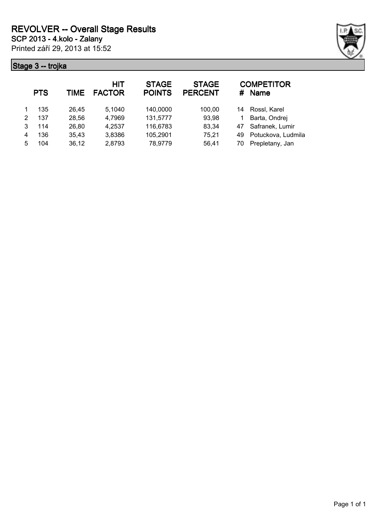

|   | <b>PTS</b> | TIME  | HIT<br><b>FACTOR</b> | <b>STAGE</b><br><b>POINTS</b> | <b>STAGE</b><br><b>PERCENT</b> | #  | <b>COMPETITOR</b><br><b>Name</b> |
|---|------------|-------|----------------------|-------------------------------|--------------------------------|----|----------------------------------|
|   | 135        | 26,45 | 5,1040               | 140,0000                      | 100,00                         | 14 | Rossl, Karel                     |
| 2 | 137        | 28,56 | 4,7969               | 131,5777                      | 93,98                          |    | Barta, Ondrej                    |
| 3 | 114        | 26,80 | 4,2537               | 116,6783                      | 83,34                          | 47 | Safranek, Lumir                  |
| 4 | 136        | 35,43 | 3,8386               | 105,2901                      | 75,21                          | 49 | Potuckova, Ludmila               |
| 5 | 104        | 36,12 | 2,8793               | 78,9779                       | 56,41                          | 70 | Prepletany, Jan                  |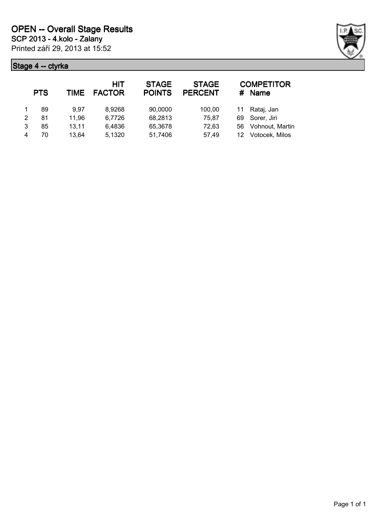

|   | <b>PTS</b> | TIME  | <b>HIT</b><br><b>FACTOR</b> | <b>STAGE</b><br><b>POINTS</b> | <b>STAGE</b><br><b>PERCENT</b> | #  | <b>COMPETITOR</b><br><b>Name</b> |
|---|------------|-------|-----------------------------|-------------------------------|--------------------------------|----|----------------------------------|
|   | 89         | 9.97  | 8,9268                      | 90,0000                       | 100,00                         | 11 | Rataj, Jan                       |
| 2 | 81         | 11,96 | 6,7726                      | 68,2813                       | 75,87                          | 69 | Sorer, Jiri                      |
| 3 | 85         | 13,11 | 6,4836                      | 65,3678                       | 72,63                          | 56 | Vohnout, Martin                  |
| 4 | 70         | 13,64 | 5,1320                      | 51,7406                       | 57,49                          | 12 | Votocek, Milos                   |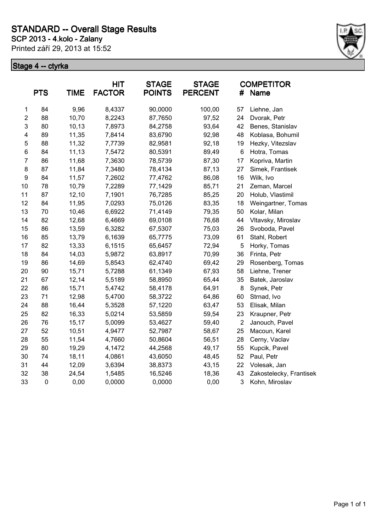Printed září 29, 2013 at 15:52



|                  | <b>PTS</b> | <b>TIME</b> | <b>HIT</b><br><b>FACTOR</b> | <b>STAGE</b><br><b>POINTS</b> | <b>STAGE</b><br><b>PERCENT</b> | #              | <b>COMPETITOR</b><br><b>Name</b> |
|------------------|------------|-------------|-----------------------------|-------------------------------|--------------------------------|----------------|----------------------------------|
| 1                | 84         | 9,96        | 8,4337                      | 90,0000                       | 100,00                         | 57             | Liehne, Jan                      |
| $\overline{2}$   | 88         | 10,70       | 8,2243                      | 87,7650                       | 97,52                          | 24             | Dvorak, Petr                     |
| 3                | 80         | 10,13       | 7,8973                      | 84,2758                       | 93,64                          | 42             | Benes, Stanislav                 |
| 4                | 89         | 11,35       | 7,8414                      | 83,6790                       | 92,98                          | 48             | Koblasa, Bohumil                 |
| 5                | 88         | 11,32       | 7,7739                      | 82,9581                       | 92,18                          | 19             | Hezky, Vitezslav                 |
| 6                | 84         | 11,13       | 7,5472                      | 80,5391                       | 89,49                          | 6              | Hotra, Tomas                     |
| $\overline{7}$   | 86         | 11,68       | 7,3630                      | 78,5739                       | 87,30                          | 17             | Kopriva, Martin                  |
| 8                | 87         | 11,84       | 7,3480                      | 78,4134                       | 87,13                          | 27             | Simek, Frantisek                 |
| $\boldsymbol{9}$ | 84         | 11,57       | 7,2602                      | 77,4762                       | 86,08                          | 16             | Wilk, Ivo                        |
| 10               | 78         | 10,79       | 7,2289                      | 77,1429                       | 85,71                          | 21             | Zeman, Marcel                    |
| 11               | 87         | 12,10       | 7,1901                      | 76,7285                       | 85,25                          | 20             | Holub, Vlastimil                 |
| 12               | 84         | 11,95       | 7,0293                      | 75,0126                       | 83,35                          | 18             | Weingartner, Tomas               |
| 13               | 70         | 10,46       | 6,6922                      | 71,4149                       | 79,35                          | 50             | Kolar, Milan                     |
| 14               | 82         | 12,68       | 6,4669                      | 69,0108                       | 76,68                          | 44             | Vltavsky, Miroslav               |
| 15               | 86         | 13,59       | 6,3282                      | 67,5307                       | 75,03                          | 26             | Svoboda, Pavel                   |
| 16               | 85         | 13,79       | 6,1639                      | 65,7775                       | 73,09                          | 61             | Stahl, Robert                    |
| 17               | 82         | 13,33       | 6,1515                      | 65,6457                       | 72,94                          | 5              | Horky, Tomas                     |
| 18               | 84         | 14,03       | 5,9872                      | 63,8917                       | 70,99                          | 36             | Frinta, Petr                     |
| 19               | 86         | 14,69       | 5,8543                      | 62,4740                       | 69,42                          | 29             | Rosenberg, Tomas                 |
| 20               | 90         | 15,71       | 5,7288                      | 61,1349                       | 67,93                          | 58             | Liehne, Trener                   |
| 21               | 67         | 12,14       | 5,5189                      | 58,8950                       | 65,44                          | 35             | Batek, Jaroslav                  |
| 22               | 86         | 15,71       | 5,4742                      | 58,4178                       | 64,91                          | 8              | Synek, Petr                      |
| 23               | 71         | 12,98       | 5,4700                      | 58,3722                       | 64,86                          | 60             | Strnad, Ivo                      |
| 24               | 88         | 16,44       | 5,3528                      | 57,1220                       | 63,47                          | 53             | Elisak, Milan                    |
| 25               | 82         | 16,33       | 5,0214                      | 53,5859                       | 59,54                          | 23             | Kraupner, Petr                   |
| 26               | 76         | 15,17       | 5,0099                      | 53,4627                       | 59,40                          | $\overline{2}$ | Janouch, Pavel                   |
| 27               | 52         | 10,51       | 4,9477                      | 52,7987                       | 58,67                          | 25             | Macoun, Karel                    |
| 28               | 55         | 11,54       | 4,7660                      | 50,8604                       | 56,51                          | 28             | Cerny, Vaclav                    |
| 29               | 80         | 19,29       | 4,1472                      | 44,2568                       | 49,17                          | 55             | Kupcik, Pavel                    |
| 30               | 74         | 18,11       | 4,0861                      | 43,6050                       | 48,45                          | 52             | Paul, Petr                       |
| 31               | 44         | 12,09       | 3,6394                      | 38,8373                       | 43,15                          | 22             | Volesak, Jan                     |
| 32               | 38         | 24,54       | 1,5485                      | 16,5246                       | 18,36                          | 43             | Zakostelecky, Frantisek          |
| 33               | $\pmb{0}$  | 0,00        | 0,0000                      | 0,0000                        | 0,00                           | 3              | Kohn, Miroslav                   |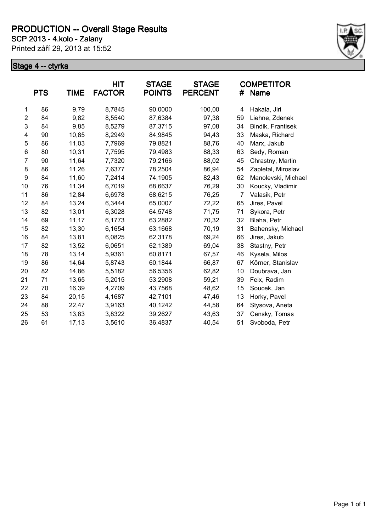**SCP 2013 - 4.kolo - Zalany**

Printed září 29, 2013 at 15:52



|                | <b>PTS</b> | <b>TIME</b> | <b>HIT</b><br><b>FACTOR</b> | <b>STAGE</b><br><b>POINTS</b> | <b>STAGE</b><br><b>PERCENT</b> | #              | <b>COMPETITOR</b><br>Name |
|----------------|------------|-------------|-----------------------------|-------------------------------|--------------------------------|----------------|---------------------------|
| 1              | 86         | 9,79        | 8,7845                      | 90,0000                       | 100,00                         | 4              | Hakala, Jiri              |
| $\overline{c}$ | 84         | 9,82        | 8,5540                      | 87,6384                       | 97,38                          | 59             | Liehne, Zdenek            |
| 3              | 84         | 9,85        | 8,5279                      | 87,3715                       | 97,08                          | 34             | Bindik, Frantisek         |
| 4              | 90         | 10,85       | 8,2949                      | 84,9845                       | 94,43                          | 33             | Maska, Richard            |
| 5              | 86         | 11,03       | 7,7969                      | 79,8821                       | 88,76                          | 40             | Marx, Jakub               |
| 6              | 80         | 10,31       | 7,7595                      | 79,4983                       | 88,33                          | 63             | Sedy, Roman               |
| $\overline{7}$ | 90         | 11,64       | 7,7320                      | 79,2166                       | 88,02                          | 45             | Chrastny, Martin          |
| 8              | 86         | 11,26       | 7,6377                      | 78,2504                       | 86,94                          | 54             | Zapletal, Miroslav        |
| 9              | 84         | 11,60       | 7,2414                      | 74,1905                       | 82,43                          | 62             | Manolevski, Michael       |
| 10             | 76         | 11,34       | 6,7019                      | 68,6637                       | 76,29                          | 30             | Koucky, Vladimir          |
| 11             | 86         | 12,84       | 6,6978                      | 68,6215                       | 76,25                          | $\overline{7}$ | Valasik, Petr             |
| 12             | 84         | 13,24       | 6,3444                      | 65,0007                       | 72,22                          | 65             | Jires, Pavel              |
| 13             | 82         | 13,01       | 6,3028                      | 64,5748                       | 71,75                          | 71             | Sykora, Petr              |
| 14             | 69         | 11,17       | 6,1773                      | 63,2882                       | 70,32                          | 32             | Blaha, Petr               |
| 15             | 82         | 13,30       | 6,1654                      | 63,1668                       | 70,19                          | 31             | Bahensky, Michael         |
| 16             | 84         | 13,81       | 6,0825                      | 62,3178                       | 69,24                          | 66             | Jires, Jakub              |
| 17             | 82         | 13,52       | 6,0651                      | 62,1389                       | 69,04                          | 38             | Stastny, Petr             |
| 18             | 78         | 13,14       | 5,9361                      | 60,8171                       | 67,57                          | 46             | Kysela, Milos             |
| 19             | 86         | 14,64       | 5,8743                      | 60,1844                       | 66,87                          | 67             | Körner, Stanislav         |
| 20             | 82         | 14,86       | 5,5182                      | 56,5356                       | 62,82                          | 10             | Doubrava, Jan             |
| 21             | 71         | 13,65       | 5,2015                      | 53,2908                       | 59,21                          | 39             | Feix, Radim               |
| 22             | 70         | 16,39       | 4,2709                      | 43,7568                       | 48,62                          | 15             | Soucek, Jan               |
| 23             | 84         | 20,15       | 4,1687                      | 42,7101                       | 47,46                          | 13             | Horky, Pavel              |
| 24             | 88         | 22,47       | 3,9163                      | 40,1242                       | 44,58                          | 64             | Stysova, Aneta            |
| 25             | 53         | 13,83       | 3,8322                      | 39,2627                       | 43,63                          | 37             | Censky, Tomas             |
| 26             | 61         | 17,13       | 3,5610                      | 36,4837                       | 40,54                          | 51             | Svoboda, Petr             |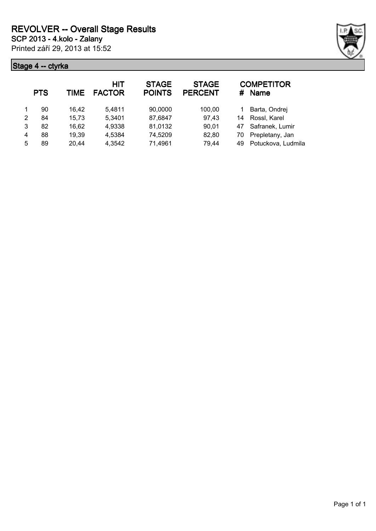|   | <b>PTS</b> | TIME  | HIT<br><b>FACTOR</b> | <b>STAGE</b><br><b>POINTS</b> | <b>STAGE</b><br><b>PERCENT</b> | #  | <b>COMPETITOR</b><br><b>Name</b> |
|---|------------|-------|----------------------|-------------------------------|--------------------------------|----|----------------------------------|
|   | 90         | 16.42 | 5,4811               | 90,0000                       | 100,00                         |    | Barta, Ondrej                    |
| 2 | 84         | 15,73 | 5,3401               | 87,6847                       | 97,43                          | 14 | Rossl, Karel                     |
| 3 | 82         | 16,62 | 4,9338               | 81,0132                       | 90,01                          | 47 | Safranek, Lumir                  |
| 4 | 88         | 19,39 | 4,5384               | 74,5209                       | 82,80                          | 70 | Prepletany, Jan                  |
| 5 | 89         | 20,44 | 4,3542               | 71,4961                       | 79,44                          | 49 | Potuckova, Ludmila               |

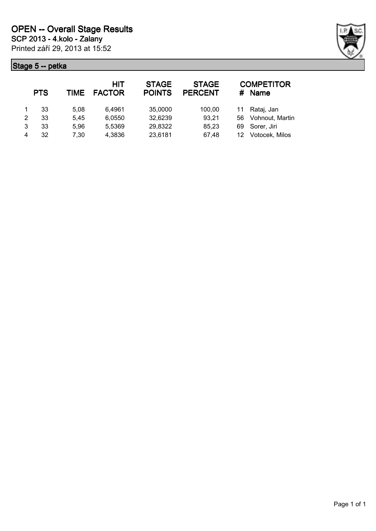

|   | <b>PTS</b> | TIME | <b>HIT</b><br><b>FACTOR</b> | <b>STAGE</b><br><b>POINTS</b> | <b>STAGE</b><br><b>PERCENT</b> | #   | <b>COMPETITOR</b><br><b>Name</b> |
|---|------------|------|-----------------------------|-------------------------------|--------------------------------|-----|----------------------------------|
|   | 33         | 5.08 | 6,4961                      | 35,0000                       | 100,00                         |     | Rataj, Jan                       |
| 2 | 33         | 5.45 | 6,0550                      | 32,6239                       | 93,21                          | 56  | Vohnout, Martin                  |
| 3 | 33         | 5.96 | 5,5369                      | 29,8322                       | 85,23                          | 69. | Sorer, Jiri                      |
| 4 | 32         | 7.30 | 4,3836                      | 23,6181                       | 67,48                          |     | Votocek, Milos                   |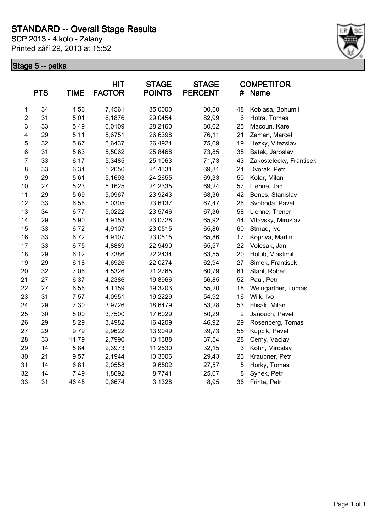Printed září 29, 2013 at 15:52



|                         | <b>PTS</b> | <b>TIME</b> | <b>HIT</b><br><b>FACTOR</b> | <b>STAGE</b><br><b>POINTS</b> | <b>STAGE</b><br><b>PERCENT</b> | #              | <b>COMPETITOR</b><br>Name |
|-------------------------|------------|-------------|-----------------------------|-------------------------------|--------------------------------|----------------|---------------------------|
| 1                       | 34         | 4,56        | 7,4561                      | 35,0000                       | 100,00                         | 48             | Koblasa, Bohumil          |
| $\boldsymbol{2}$        | 31         | 5,01        | 6,1876                      | 29,0454                       | 82,99                          | 6              | Hotra, Tomas              |
| 3                       | 33         | 5,49        | 6,0109                      | 28,2160                       | 80,62                          | 25             | Macoun, Karel             |
| $\overline{\mathbf{4}}$ | 29         | 5,11        | 5,6751                      | 26,6398                       | 76,11                          | 21             | Zeman, Marcel             |
| 5                       | 32         | 5,67        | 5,6437                      | 26,4924                       | 75,69                          | 19             | Hezky, Vitezslav          |
| $6\phantom{1}$          | 31         | 5,63        | 5,5062                      | 25,8468                       | 73,85                          | 35             | Batek, Jaroslav           |
| $\overline{7}$          | 33         | 6,17        | 5,3485                      | 25,1063                       | 71,73                          | 43             | Zakostelecky, Frantisek   |
| 8                       | 33         | 6,34        | 5,2050                      | 24,4331                       | 69,81                          | 24             | Dvorak, Petr              |
| 9                       | 29         | 5,61        | 5,1693                      | 24,2655                       | 69,33                          | 50             | Kolar, Milan              |
| 10                      | 27         | 5,23        | 5,1625                      | 24,2335                       | 69,24                          | 57             | Liehne, Jan               |
| 11                      | 29         | 5,69        | 5,0967                      | 23,9243                       | 68,36                          | 42             | Benes, Stanislav          |
| 12                      | 33         | 6,56        | 5,0305                      | 23,6137                       | 67,47                          | 26             | Svoboda, Pavel            |
| 13                      | 34         | 6,77        | 5,0222                      | 23,5746                       | 67,36                          | 58             | Liehne, Trener            |
| 14                      | 29         | 5,90        | 4,9153                      | 23,0728                       | 65,92                          | 44             | Vltavsky, Miroslav        |
| 15                      | 33         | 6,72        | 4,9107                      | 23,0515                       | 65,86                          | 60             | Strnad, Ivo               |
| 16                      | 33         | 6,72        | 4,9107                      | 23,0515                       | 65,86                          | 17             | Kopriva, Martin           |
| 17                      | 33         | 6,75        | 4,8889                      | 22,9490                       | 65,57                          | 22             | Volesak, Jan              |
| 18                      | 29         | 6,12        | 4,7386                      | 22,2434                       | 63,55                          | 20             | Holub, Vlastimil          |
| 19                      | 29         | 6,18        | 4,6926                      | 22,0274                       | 62,94                          | 27             | Simek, Frantisek          |
| 20                      | 32         | 7,06        | 4,5326                      | 21,2765                       | 60,79                          | 61             | Stahl, Robert             |
| 21                      | 27         | 6,37        | 4,2386                      | 19,8966                       | 56,85                          | 52             | Paul, Petr                |
| 22                      | 27         | 6,56        | 4,1159                      | 19,3203                       | 55,20                          | 18             | Weingartner, Tomas        |
| 23                      | 31         | 7,57        | 4,0951                      | 19,2229                       | 54,92                          | 16             | Wilk, Ivo                 |
| 24                      | 29         | 7,30        | 3,9726                      | 18,6479                       | 53,28                          | 53             | Elisak, Milan             |
| 25                      | 30         | 8,00        | 3,7500                      | 17,6029                       | 50,29                          | $\overline{2}$ | Janouch, Pavel            |
| 26                      | 29         | 8,29        | 3,4982                      | 16,4209                       | 46,92                          | 29             | Rosenberg, Tomas          |
| 27                      | 29         | 9,79        | 2,9622                      | 13,9049                       | 39,73                          | 55             | Kupcik, Pavel             |
| 28                      | 33         | 11,79       | 2,7990                      | 13,1388                       | 37,54                          | 28             | Cerny, Vaclav             |
| 29                      | 14         | 5,84        | 2,3973                      | 11,2530                       | 32,15                          | 3              | Kohn, Miroslav            |
| 30                      | 21         | 9,57        | 2,1944                      | 10,3006                       | 29,43                          | 23             | Kraupner, Petr            |
| 31                      | 14         | 6,81        | 2,0558                      | 9,6502                        | 27,57                          | 5              | Horky, Tomas              |
| 32                      | 14         | 7,49        | 1,8692                      | 8,7741                        | 25,07                          | 8              | Synek, Petr               |
| 33                      | 31         | 46,45       | 0,6674                      | 3,1328                        | 8,95                           | 36             | Frinta, Petr              |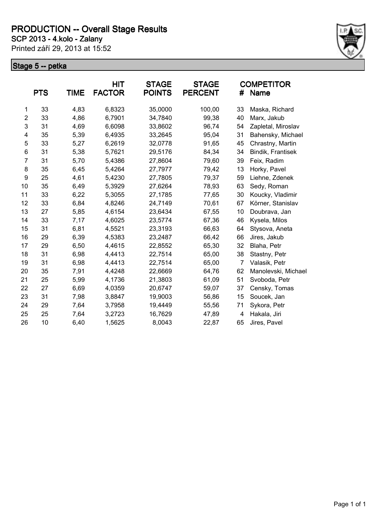**SCP 2013 - 4.kolo - Zalany**

Printed září 29, 2013 at 15:52



|                | <b>PTS</b> | <b>TIME</b> | <b>HIT</b><br><b>FACTOR</b> | <b>STAGE</b><br><b>POINTS</b> | <b>STAGE</b><br><b>PERCENT</b> | #              | <b>COMPETITOR</b><br>Name |
|----------------|------------|-------------|-----------------------------|-------------------------------|--------------------------------|----------------|---------------------------|
| 1              | 33         | 4,83        | 6,8323                      | 35,0000                       | 100,00                         | 33             | Maska, Richard            |
| $\overline{2}$ | 33         | 4,86        | 6,7901                      | 34,7840                       | 99,38                          | 40             | Marx, Jakub               |
| 3              | 31         | 4,69        | 6,6098                      | 33,8602                       | 96,74                          | 54             | Zapletal, Miroslav        |
| 4              | 35         | 5,39        | 6,4935                      | 33,2645                       | 95,04                          | 31             | Bahensky, Michael         |
| 5              | 33         | 5,27        | 6,2619                      | 32,0778                       | 91,65                          | 45             | Chrastny, Martin          |
| 6              | 31         | 5,38        | 5,7621                      | 29,5176                       | 84,34                          | 34             | Bindik, Frantisek         |
| 7              | 31         | 5,70        | 5,4386                      | 27,8604                       | 79,60                          | 39             | Feix, Radim               |
| 8              | 35         | 6,45        | 5,4264                      | 27,7977                       | 79,42                          | 13             | Horky, Pavel              |
| 9              | 25         | 4,61        | 5,4230                      | 27,7805                       | 79,37                          | 59             | Liehne, Zdenek            |
| 10             | 35         | 6,49        | 5,3929                      | 27,6264                       | 78,93                          | 63             | Sedy, Roman               |
| 11             | 33         | 6,22        | 5,3055                      | 27,1785                       | 77,65                          | 30             | Koucky, Vladimir          |
| 12             | 33         | 6,84        | 4,8246                      | 24,7149                       | 70,61                          | 67             | Körner, Stanislav         |
| 13             | 27         | 5,85        | 4,6154                      | 23,6434                       | 67,55                          | 10             | Doubrava, Jan             |
| 14             | 33         | 7,17        | 4,6025                      | 23,5774                       | 67,36                          | 46             | Kysela, Milos             |
| 15             | 31         | 6,81        | 4,5521                      | 23,3193                       | 66,63                          | 64             | Stysova, Aneta            |
| 16             | 29         | 6,39        | 4,5383                      | 23,2487                       | 66,42                          | 66             | Jires, Jakub              |
| 17             | 29         | 6,50        | 4,4615                      | 22,8552                       | 65,30                          | 32             | Blaha, Petr               |
| 18             | 31         | 6,98        | 4,4413                      | 22,7514                       | 65,00                          | 38             | Stastny, Petr             |
| 19             | 31         | 6,98        | 4,4413                      | 22,7514                       | 65,00                          | $\overline{7}$ | Valasik, Petr             |
| 20             | 35         | 7,91        | 4,4248                      | 22,6669                       | 64,76                          | 62             | Manolevski, Michael       |
| 21             | 25         | 5,99        | 4,1736                      | 21,3803                       | 61,09                          | 51             | Svoboda, Petr             |
| 22             | 27         | 6,69        | 4,0359                      | 20,6747                       | 59,07                          | 37             | Censky, Tomas             |
| 23             | 31         | 7,98        | 3,8847                      | 19,9003                       | 56,86                          | 15             | Soucek, Jan               |
| 24             | 29         | 7,64        | 3,7958                      | 19,4449                       | 55,56                          | 71             | Sykora, Petr              |
| 25             | 25         | 7,64        | 3,2723                      | 16,7629                       | 47,89                          | 4              | Hakala, Jiri              |
| 26             | 10         | 6,40        | 1,5625                      | 8,0043                        | 22,87                          | 65             | Jires, Pavel              |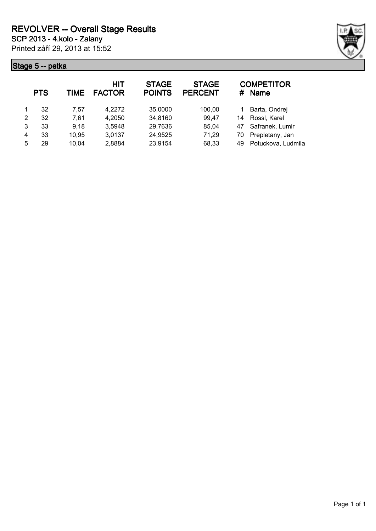

|   | <b>PTS</b> | TIME  | <b>HIT</b><br><b>FACTOR</b> | <b>STAGE</b><br><b>POINTS</b> | <b>STAGE</b><br><b>PERCENT</b> | #  | <b>COMPETITOR</b><br><b>Name</b> |
|---|------------|-------|-----------------------------|-------------------------------|--------------------------------|----|----------------------------------|
|   | 32         | 7.57  | 4,2272                      | 35,0000                       | 100,00                         |    | Barta, Ondrej                    |
| 2 | 32         | 7,61  | 4,2050                      | 34,8160                       | 99,47                          | 14 | Rossl, Karel                     |
| 3 | 33         | 9,18  | 3,5948                      | 29,7636                       | 85,04                          | 47 | Safranek, Lumir                  |
| 4 | 33         | 10,95 | 3,0137                      | 24,9525                       | 71,29                          | 70 | Prepletany, Jan                  |
| 5 | 29         | 10,04 | 2,8884                      | 23,9154                       | 68,33                          | 49 | Potuckova, Ludmila               |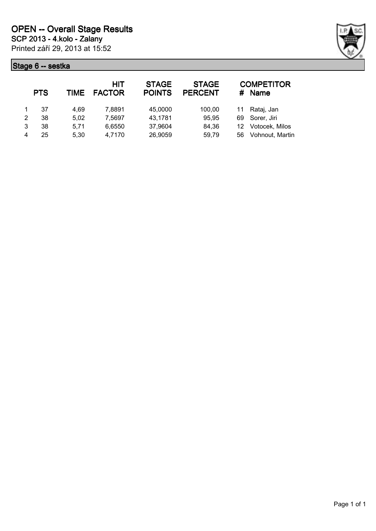

|   | <b>PTS</b> | TIME | HIT<br><b>FACTOR</b> | <b>STAGE</b><br><b>POINTS</b> | <b>STAGE</b><br><b>PERCENT</b> | #  | <b>COMPETITOR</b><br><b>Name</b> |
|---|------------|------|----------------------|-------------------------------|--------------------------------|----|----------------------------------|
|   | 37         | 4.69 | 7,8891               | 45,0000                       | 100,00                         |    | Rataj, Jan                       |
| 2 | 38         | 5.02 | 7,5697               | 43,1781                       | 95,95                          | 69 | Sorer, Jiri                      |
| 3 | 38         | 5.71 | 6,6550               | 37,9604                       | 84,36                          | 12 | Votocek, Milos                   |
|   | 25         | 5,30 | 4,7170               | 26,9059                       | 59,79                          | 56 | Vohnout, Martin                  |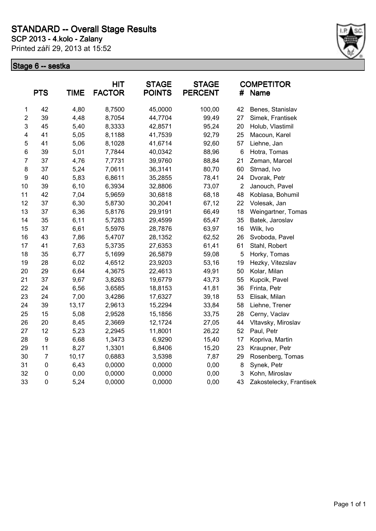Printed září 29, 2013 at 15:52



|                         | <b>PTS</b> | <b>TIME</b> | HIT<br><b>FACTOR</b> | <b>STAGE</b><br><b>POINTS</b> | <b>STAGE</b><br><b>PERCENT</b> | #              | <b>COMPETITOR</b><br><b>Name</b> |
|-------------------------|------------|-------------|----------------------|-------------------------------|--------------------------------|----------------|----------------------------------|
| 1                       | 42         | 4,80        | 8,7500               | 45,0000                       | 100,00                         | 42             | Benes, Stanislav                 |
| $\overline{c}$          | 39         | 4,48        | 8,7054               | 44,7704                       | 99,49                          | 27             | Simek, Frantisek                 |
| 3                       | 45         | 5,40        | 8,3333               | 42,8571                       | 95,24                          | 20             | Holub, Vlastimil                 |
| $\overline{\mathbf{4}}$ | 41         | 5,05        | 8,1188               | 41,7539                       | 92,79                          | 25             | Macoun, Karel                    |
| 5                       | 41         | 5,06        | 8,1028               | 41,6714                       | 92,60                          | 57             | Liehne, Jan                      |
| $\,6$                   | 39         | 5,01        | 7,7844               | 40,0342                       | 88,96                          | $\,6$          | Hotra, Tomas                     |
| $\overline{7}$          | 37         | 4,76        | 7,7731               | 39,9760                       | 88,84                          | 21             | Zeman, Marcel                    |
| 8                       | 37         | 5,24        | 7,0611               | 36,3141                       | 80,70                          | 60             | Strnad, Ivo                      |
| $\boldsymbol{9}$        | 40         | 5,83        | 6,8611               | 35,2855                       | 78,41                          | 24             | Dvorak, Petr                     |
| 10                      | 39         | 6,10        | 6,3934               | 32,8806                       | 73,07                          | $\overline{2}$ | Janouch, Pavel                   |
| 11                      | 42         | 7,04        | 5,9659               | 30,6818                       | 68,18                          | 48             | Koblasa, Bohumil                 |
| 12                      | 37         | 6,30        | 5,8730               | 30,2041                       | 67,12                          | 22             | Volesak, Jan                     |
| 13                      | 37         | 6,36        | 5,8176               | 29,9191                       | 66,49                          | 18             | Weingartner, Tomas               |
| 14                      | 35         | 6,11        | 5,7283               | 29,4599                       | 65,47                          | 35             | Batek, Jaroslav                  |
| 15                      | 37         | 6,61        | 5,5976               | 28,7876                       | 63,97                          | 16             | Wilk, Ivo                        |
| 16                      | 43         | 7,86        | 5,4707               | 28,1352                       | 62,52                          | 26             | Svoboda, Pavel                   |
| 17                      | 41         | 7,63        | 5,3735               | 27,6353                       | 61,41                          | 61             | Stahl, Robert                    |
| 18                      | 35         | 6,77        | 5,1699               | 26,5879                       | 59,08                          | 5              | Horky, Tomas                     |
| 19                      | 28         | 6,02        | 4,6512               | 23,9203                       | 53,16                          | 19             | Hezky, Vitezslav                 |
| 20                      | 29         | 6,64        | 4,3675               | 22,4613                       | 49,91                          | 50             | Kolar, Milan                     |
| 21                      | 37         | 9,67        | 3,8263               | 19,6779                       | 43,73                          | 55             | Kupcik, Pavel                    |
| 22                      | 24         | 6,56        | 3,6585               | 18,8153                       | 41,81                          | 36             | Frinta, Petr                     |
| 23                      | 24         | 7,00        | 3,4286               | 17,6327                       | 39,18                          | 53             | Elisak, Milan                    |
| 24                      | 39         | 13,17       | 2,9613               | 15,2294                       | 33,84                          | 58             | Liehne, Trener                   |
| 25                      | 15         | 5,08        | 2,9528               | 15,1856                       | 33,75                          | 28             | Cerny, Vaclav                    |
| 26                      | 20         | 8,45        | 2,3669               | 12,1724                       | 27,05                          | 44             | Vltavsky, Miroslav               |
| 27                      | 12         | 5,23        | 2,2945               | 11,8001                       | 26,22                          | 52             | Paul, Petr                       |
| 28                      | 9          | 6,68        | 1,3473               | 6,9290                        | 15,40                          | 17             | Kopriva, Martin                  |
| 29                      | 11         | 8,27        | 1,3301               | 6,8406                        | 15,20                          | 23             | Kraupner, Petr                   |
| 30                      | 7          | 10,17       | 0,6883               | 3,5398                        | 7,87                           | 29             | Rosenberg, Tomas                 |
| 31                      | $\pmb{0}$  | 6,43        | 0,0000               | 0,0000                        | 0,00                           | 8              | Synek, Petr                      |
| 32                      | 0          | 0,00        | 0,0000               | 0,0000                        | 0,00                           | 3              | Kohn, Miroslav                   |
| 33                      | 0          | 5,24        | 0,0000               | 0,0000                        | 0,00                           | 43             | Zakostelecky, Frantisek          |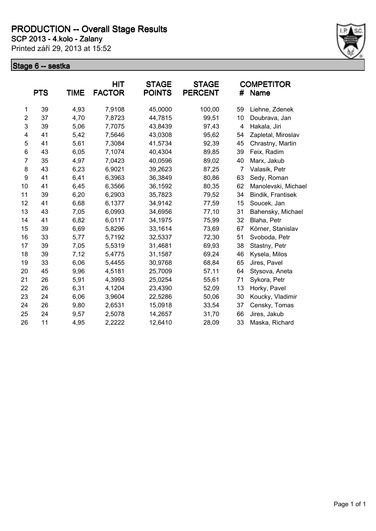**SCP 2013 - 4.kolo - Zalany**

Printed září 29, 2013 at 15:52



|                | <b>PTS</b> | <b>TIME</b> | <b>HIT</b><br><b>FACTOR</b> | <b>STAGE</b><br><b>POINTS</b> | <b>STAGE</b><br><b>PERCENT</b> | #              | <b>COMPETITOR</b><br>Name |
|----------------|------------|-------------|-----------------------------|-------------------------------|--------------------------------|----------------|---------------------------|
| 1              | 39         | 4,93        | 7,9108                      | 45,0000                       | 100,00                         | 59             | Liehne, Zdenek            |
| $\overline{c}$ | 37         | 4,70        | 7,8723                      | 44,7815                       | 99,51                          | 10             | Doubrava, Jan             |
| 3              | 39         | 5,06        | 7,7075                      | 43,8439                       | 97,43                          | 4              | Hakala, Jiri              |
| 4              | 41         | 5,42        | 7,5646                      | 43,0308                       | 95,62                          | 54             | Zapletal, Miroslav        |
| 5              | 41         | 5,61        | 7,3084                      | 41,5734                       | 92,39                          | 45             | Chrastny, Martin          |
| 6              | 43         | 6,05        | 7,1074                      | 40,4304                       | 89,85                          | 39             | Feix, Radim               |
| $\overline{7}$ | 35         | 4,97        | 7,0423                      | 40,0596                       | 89,02                          | 40             | Marx, Jakub               |
| 8              | 43         | 6,23        | 6,9021                      | 39,2623                       | 87,25                          | $\overline{7}$ | Valasik, Petr             |
| 9              | 41         | 6,41        | 6,3963                      | 36,3849                       | 80,86                          | 63             | Sedy, Roman               |
| 10             | 41         | 6,45        | 6,3566                      | 36,1592                       | 80,35                          | 62             | Manolevski, Michael       |
| 11             | 39         | 6,20        | 6,2903                      | 35,7823                       | 79,52                          | 34             | Bindik, Frantisek         |
| 12             | 41         | 6,68        | 6,1377                      | 34,9142                       | 77,59                          | 15             | Soucek, Jan               |
| 13             | 43         | 7,05        | 6,0993                      | 34,6956                       | 77,10                          | 31             | Bahensky, Michael         |
| 14             | 41         | 6,82        | 6,0117                      | 34,1975                       | 75,99                          | 32             | Blaha, Petr               |
| 15             | 39         | 6,69        | 5,8296                      | 33,1614                       | 73,69                          | 67             | Körner, Stanislav         |
| 16             | 33         | 5,77        | 5,7192                      | 32,5337                       | 72,30                          | 51             | Svoboda, Petr             |
| 17             | 39         | 7,05        | 5,5319                      | 31,4681                       | 69,93                          | 38             | Stastny, Petr             |
| 18             | 39         | 7,12        | 5,4775                      | 31,1587                       | 69,24                          | 46             | Kysela, Milos             |
| 19             | 33         | 6,06        | 5,4455                      | 30,9768                       | 68,84                          | 65             | Jires, Pavel              |
| 20             | 45         | 9,96        | 4,5181                      | 25,7009                       | 57,11                          | 64             | Stysova, Aneta            |
| 21             | 26         | 5,91        | 4,3993                      | 25,0254                       | 55,61                          | 71             | Sykora, Petr              |
| 22             | 26         | 6,31        | 4,1204                      | 23,4390                       | 52,09                          | 13             | Horky, Pavel              |
| 23             | 24         | 6,06        | 3,9604                      | 22,5286                       | 50,06                          | 30             | Koucky, Vladimir          |
| 24             | 26         | 9,80        | 2,6531                      | 15,0918                       | 33,54                          | 37             | Censky, Tomas             |
| 25             | 24         | 9,57        | 2,5078                      | 14,2657                       | 31,70                          | 66             | Jires, Jakub              |
| 26             | 11         | 4,95        | 2,2222                      | 12,6410                       | 28,09                          | 33             | Maska, Richard            |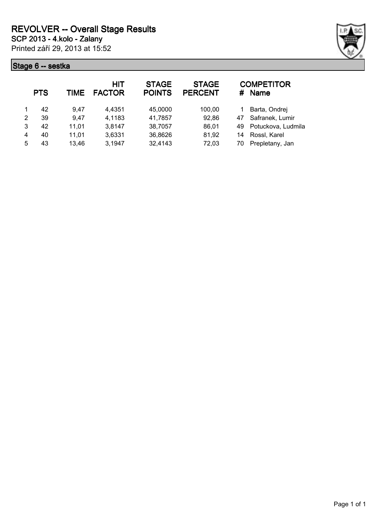

|   | <b>PTS</b> | TIME  | <b>HIT</b><br><b>FACTOR</b> | <b>STAGE</b><br><b>POINTS</b> | <b>STAGE</b><br><b>PERCENT</b> | #  | <b>COMPETITOR</b><br><b>Name</b> |
|---|------------|-------|-----------------------------|-------------------------------|--------------------------------|----|----------------------------------|
|   | 42         | 9.47  | 4,4351                      | 45,0000                       | 100,00                         |    | Barta, Ondrej                    |
| 2 | 39         | 9,47  | 4,1183                      | 41,7857                       | 92,86                          | 47 | Safranek, Lumir                  |
| 3 | 42         | 11,01 | 3,8147                      | 38,7057                       | 86,01                          | 49 | Potuckova, Ludmila               |
| 4 | 40         | 11,01 | 3,6331                      | 36,8626                       | 81,92                          | 14 | Rossl, Karel                     |
| 5 | 43         | 13,46 | 3,1947                      | 32,4143                       | 72,03                          | 70 | Prepletany, Jan                  |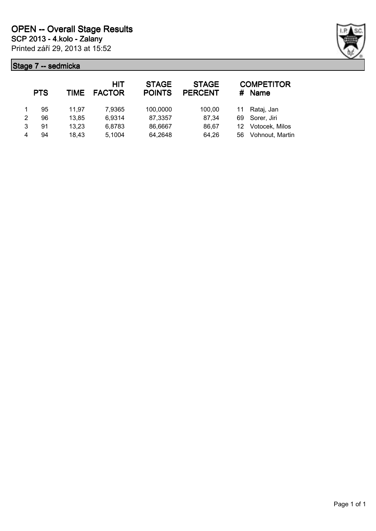

|   | <b>PTS</b> | TIME  | <b>HIT</b><br><b>FACTOR</b> | <b>STAGE</b><br><b>POINTS</b> | <b>STAGE</b><br><b>PERCENT</b> | #               | <b>COMPETITOR</b><br><b>Name</b> |
|---|------------|-------|-----------------------------|-------------------------------|--------------------------------|-----------------|----------------------------------|
|   | 95         | 11.97 | 7,9365                      | 100,0000                      | 100,00                         | 11              | Rataj, Jan                       |
| 2 | 96         | 13,85 | 6,9314                      | 87,3357                       | 87,34                          | 69              | Sorer, Jiri                      |
| 3 | 91         | 13,23 | 6,8783                      | 86,6667                       | 86,67                          | 12 <sup>°</sup> | Votocek, Milos                   |
| 4 | 94         | 18,43 | 5,1004                      | 64,2648                       | 64,26                          | 56              | Vohnout, Martin                  |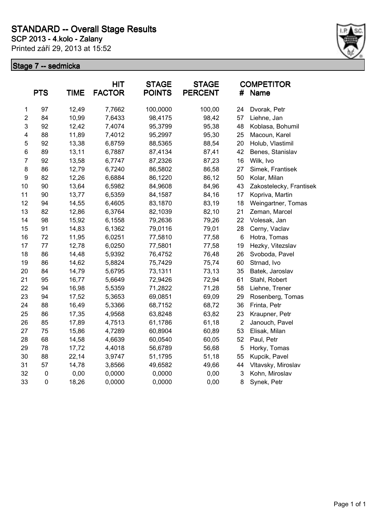Printed září 29, 2013 at 15:52 **SCP 2013 - 4.kolo - Zalany**



|                | <b>PTS</b> | <b>TIME</b> | <b>HIT</b><br><b>FACTOR</b> | <b>STAGE</b><br><b>POINTS</b> | <b>STAGE</b><br><b>PERCENT</b> | #              | <b>COMPETITOR</b><br>Name |
|----------------|------------|-------------|-----------------------------|-------------------------------|--------------------------------|----------------|---------------------------|
| 1              | 97         | 12,49       | 7,7662                      | 100,0000                      | 100,00                         | 24             | Dvorak, Petr              |
| $\overline{c}$ | 84         | 10,99       | 7,6433                      | 98,4175                       | 98,42                          | 57             | Liehne, Jan               |
| $\mathsf 3$    | 92         | 12,42       | 7,4074                      | 95,3799                       | 95,38                          | 48             | Koblasa, Bohumil          |
| 4              | 88         | 11,89       | 7,4012                      | 95,2997                       | 95,30                          | 25             | Macoun, Karel             |
| 5              | 92         | 13,38       | 6,8759                      | 88,5365                       | 88,54                          | 20             | Holub, Vlastimil          |
| 6              | 89         | 13,11       | 6,7887                      | 87,4134                       | 87,41                          | 42             | Benes, Stanislav          |
| $\overline{7}$ | 92         | 13,58       | 6,7747                      | 87,2326                       | 87,23                          | 16             | Wilk, Ivo                 |
| 8              | 86         | 12,79       | 6,7240                      | 86,5802                       | 86,58                          | 27             | Simek, Frantisek          |
| 9              | 82         | 12,26       | 6,6884                      | 86,1220                       | 86,12                          | 50             | Kolar, Milan              |
| 10             | 90         | 13,64       | 6,5982                      | 84,9608                       | 84,96                          | 43             | Zakostelecky, Frantisek   |
| 11             | 90         | 13,77       | 6,5359                      | 84,1587                       | 84,16                          | 17             | Kopriva, Martin           |
| 12             | 94         | 14,55       | 6,4605                      | 83,1870                       | 83,19                          | 18             | Weingartner, Tomas        |
| 13             | 82         | 12,86       | 6,3764                      | 82,1039                       | 82,10                          | 21             | Zeman, Marcel             |
| 14             | 98         | 15,92       | 6,1558                      | 79,2636                       | 79,26                          | 22             | Volesak, Jan              |
| 15             | 91         | 14,83       | 6,1362                      | 79,0116                       | 79,01                          | 28             | Cerny, Vaclav             |
| 16             | 72         | 11,95       | 6,0251                      | 77,5810                       | 77,58                          | 6              | Hotra, Tomas              |
| 17             | 77         | 12,78       | 6,0250                      | 77,5801                       | 77,58                          | 19             | Hezky, Vitezslav          |
| 18             | 86         | 14,48       | 5,9392                      | 76,4752                       | 76,48                          | 26             | Svoboda, Pavel            |
| 19             | 86         | 14,62       | 5,8824                      | 75,7429                       | 75,74                          | 60             | Strnad, Ivo               |
| 20             | 84         | 14,79       | 5,6795                      | 73,1311                       | 73,13                          | 35             | Batek, Jaroslav           |
| 21             | 95         | 16,77       | 5,6649                      | 72,9426                       | 72,94                          | 61             | Stahl, Robert             |
| 22             | 94         | 16,98       | 5,5359                      | 71,2822                       | 71,28                          | 58             | Liehne, Trener            |
| 23             | 94         | 17,52       | 5,3653                      | 69,0851                       | 69,09                          | 29             | Rosenberg, Tomas          |
| 24             | 88         | 16,49       | 5,3366                      | 68,7152                       | 68,72                          | 36             | Frinta, Petr              |
| 25             | 86         | 17,35       | 4,9568                      | 63,8248                       | 63,82                          | 23             | Kraupner, Petr            |
| 26             | 85         | 17,89       | 4,7513                      | 61,1786                       | 61,18                          | $\overline{2}$ | Janouch, Pavel            |
| 27             | 75         | 15,86       | 4,7289                      | 60,8904                       | 60,89                          | 53             | Elisak, Milan             |
| 28             | 68         | 14,58       | 4,6639                      | 60,0540                       | 60,05                          | 52             | Paul, Petr                |
| 29             | 78         | 17,72       | 4,4018                      | 56,6789                       | 56,68                          | 5              | Horky, Tomas              |
| 30             | 88         | 22,14       | 3,9747                      | 51,1795                       | 51,18                          | 55             | Kupcik, Pavel             |
| 31             | 57         | 14,78       | 3,8566                      | 49,6582                       | 49,66                          | 44             | Vltavsky, Miroslav        |
| 32             | $\pmb{0}$  | 0,00        | 0,0000                      | 0,0000                        | 0,00                           | 3              | Kohn, Miroslav            |
| 33             | $\pmb{0}$  | 18,26       | 0,0000                      | 0,0000                        | 0,00                           | 8              | Synek, Petr               |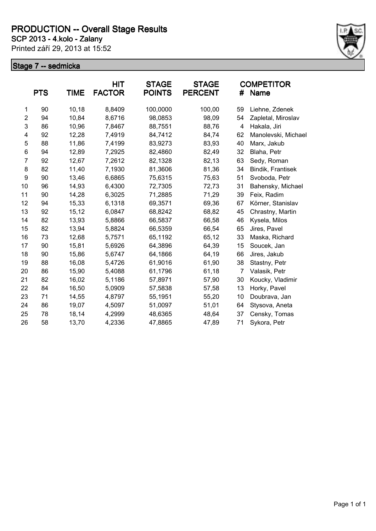**SCP 2013 - 4.kolo - Zalany**

Printed září 29, 2013 at 15:52



|                | <b>PTS</b> | TIME  | <b>HIT</b><br><b>FACTOR</b> | <b>STAGE</b><br><b>POINTS</b> | <b>STAGE</b><br><b>PERCENT</b> | #  | <b>COMPETITOR</b><br>Name |
|----------------|------------|-------|-----------------------------|-------------------------------|--------------------------------|----|---------------------------|
| 1              | 90         | 10,18 | 8,8409                      | 100,0000                      | 100,00                         | 59 | Liehne, Zdenek            |
| $\overline{c}$ | 94         | 10,84 | 8,6716                      | 98,0853                       | 98,09                          | 54 | Zapletal, Miroslav        |
| 3              | 86         | 10,96 | 7,8467                      | 88,7551                       | 88,76                          | 4  | Hakala, Jiri              |
| 4              | 92         | 12,28 | 7,4919                      | 84,7412                       | 84,74                          | 62 | Manolevski, Michael       |
| 5              | 88         | 11,86 | 7,4199                      | 83,9273                       | 83,93                          | 40 | Marx, Jakub               |
| 6              | 94         | 12,89 | 7,2925                      | 82,4860                       | 82,49                          | 32 | Blaha, Petr               |
| $\overline{7}$ | 92         | 12,67 | 7,2612                      | 82,1328                       | 82,13                          | 63 | Sedy, Roman               |
| 8              | 82         | 11,40 | 7,1930                      | 81,3606                       | 81,36                          | 34 | Bindik, Frantisek         |
| 9              | 90         | 13,46 | 6,6865                      | 75,6315                       | 75,63                          | 51 | Svoboda, Petr             |
| 10             | 96         | 14,93 | 6,4300                      | 72,7305                       | 72,73                          | 31 | Bahensky, Michael         |
| 11             | 90         | 14,28 | 6,3025                      | 71,2885                       | 71,29                          | 39 | Feix, Radim               |
| 12             | 94         | 15,33 | 6,1318                      | 69,3571                       | 69,36                          | 67 | Körner, Stanislav         |
| 13             | 92         | 15,12 | 6,0847                      | 68,8242                       | 68,82                          | 45 | Chrastny, Martin          |
| 14             | 82         | 13,93 | 5,8866                      | 66,5837                       | 66,58                          | 46 | Kysela, Milos             |
| 15             | 82         | 13,94 | 5,8824                      | 66,5359                       | 66,54                          | 65 | Jires, Pavel              |
| 16             | 73         | 12,68 | 5,7571                      | 65,1192                       | 65,12                          | 33 | Maska, Richard            |
| 17             | 90         | 15,81 | 5,6926                      | 64,3896                       | 64,39                          | 15 | Soucek, Jan               |
| 18             | 90         | 15,86 | 5,6747                      | 64,1866                       | 64,19                          | 66 | Jires, Jakub              |
| 19             | 88         | 16,08 | 5,4726                      | 61,9016                       | 61,90                          | 38 | Stastny, Petr             |
| 20             | 86         | 15,90 | 5,4088                      | 61,1796                       | 61,18                          | 7  | Valasik, Petr             |
| 21             | 82         | 16,02 | 5,1186                      | 57,8971                       | 57,90                          | 30 | Koucky, Vladimir          |
| 22             | 84         | 16,50 | 5,0909                      | 57,5838                       | 57,58                          | 13 | Horky, Pavel              |
| 23             | 71         | 14,55 | 4,8797                      | 55,1951                       | 55,20                          | 10 | Doubrava, Jan             |
| 24             | 86         | 19,07 | 4,5097                      | 51,0097                       | 51,01                          | 64 | Stysova, Aneta            |
| 25             | 78         | 18,14 | 4,2999                      | 48,6365                       | 48,64                          | 37 | Censky, Tomas             |
| 26             | 58         | 13,70 | 4,2336                      | 47,8865                       | 47,89                          | 71 | Sykora, Petr              |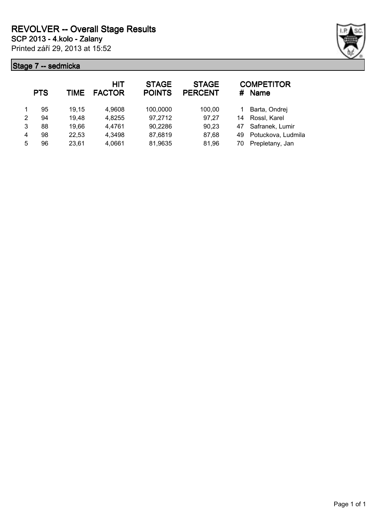

|   | <b>PTS</b> | TIME  | <b>HIT</b><br><b>FACTOR</b> | <b>STAGE</b><br><b>POINTS</b> | <b>STAGE</b><br><b>PERCENT</b> | #  | <b>COMPETITOR</b><br><b>Name</b> |
|---|------------|-------|-----------------------------|-------------------------------|--------------------------------|----|----------------------------------|
|   | 95         | 19,15 | 4,9608                      | 100,0000                      | 100,00                         |    | Barta, Ondrej                    |
| 2 | 94         | 19,48 | 4,8255                      | 97,2712                       | 97,27                          | 14 | Rossl, Karel                     |
| 3 | 88         | 19,66 | 4,4761                      | 90,2286                       | 90,23                          | 47 | Safranek, Lumir                  |
| 4 | 98         | 22,53 | 4,3498                      | 87,6819                       | 87,68                          | 49 | Potuckova, Ludmila               |
| 5 | 96         | 23,61 | 4,0661                      | 81,9635                       | 81,96                          | 70 | Prepletany, Jan                  |